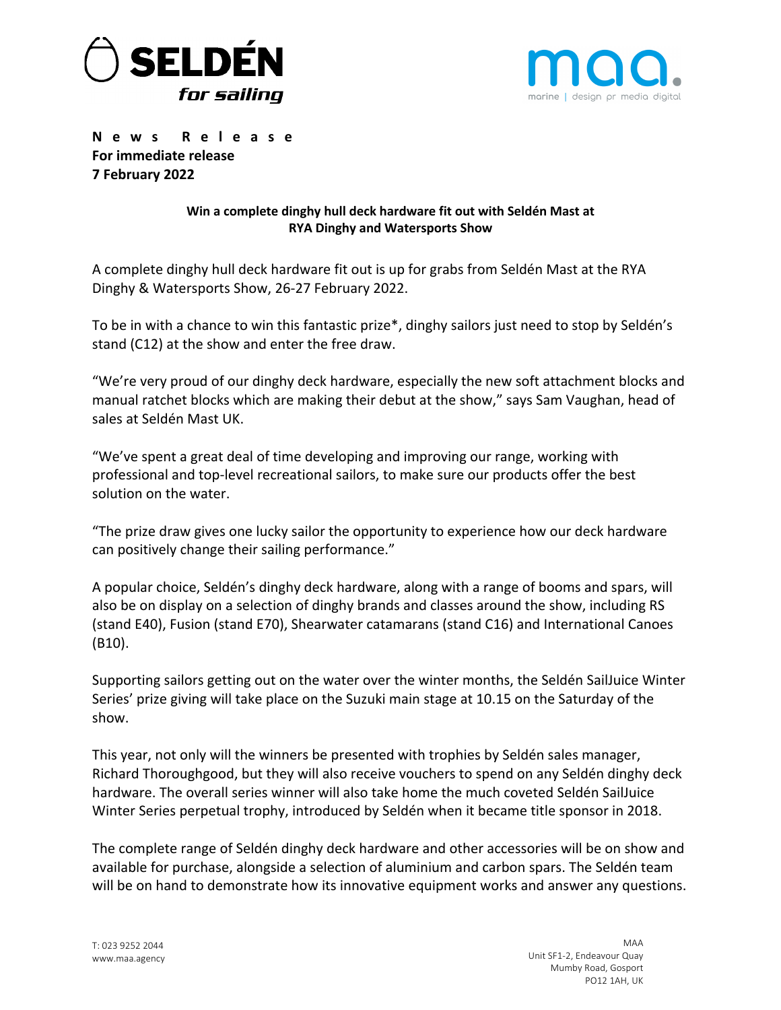



**News Release For immediate release 7 February 2022**

# **Win a complete dinghy hull deck hardware fit out with Seldén Mast at RYA Dinghy and Watersports Show**

A complete dinghy hull deck hardware fit out is up for grabs from Seldén Mast at the RYA Dinghy & Watersports Show, 26-27 February 2022.

To be in with a chance to win this fantastic prize\*, dinghy sailors just need to stop by Seldén's stand (C12) at the show and enter the free draw.

"We're very proud of our dinghy deck hardware, especially the new soft attachment blocks and manual ratchet blocks which are making their debut at the show," says Sam Vaughan, head of sales at Seldén Mast UK.

"We've spent a great deal of time developing and improving our range, working with professional and top-level recreational sailors, to make sure our products offer the best solution on the water.

"The prize draw gives one lucky sailor the opportunity to experience how our deck hardware can positively change their sailing performance."

A popular choice, Seldén's dinghy deck hardware, along with a range of booms and spars, will also be on display on a selection of dinghy brands and classes around the show, including RS (stand E40), Fusion (stand E70), Shearwater catamarans (stand C16) and International Canoes (B10).

Supporting sailors getting out on the water over the winter months, the Seldén SailJuice Winter Series' prize giving will take place on the Suzuki main stage at 10.15 on the Saturday of the show.

This year, not only will the winners be presented with trophies by Seldén sales manager, Richard Thoroughgood, but they will also receive vouchers to spend on any Seldén dinghy deck hardware. The overall series winner will also take home the much coveted Seldén SailJuice Winter Series perpetual trophy, introduced by Seldén when it became title sponsor in 2018.

The complete range of Seldén dinghy deck hardware and other accessories will be on show and available for purchase, alongside a selection of aluminium and carbon spars. The Seldén team will be on hand to demonstrate how its innovative equipment works and answer any questions.